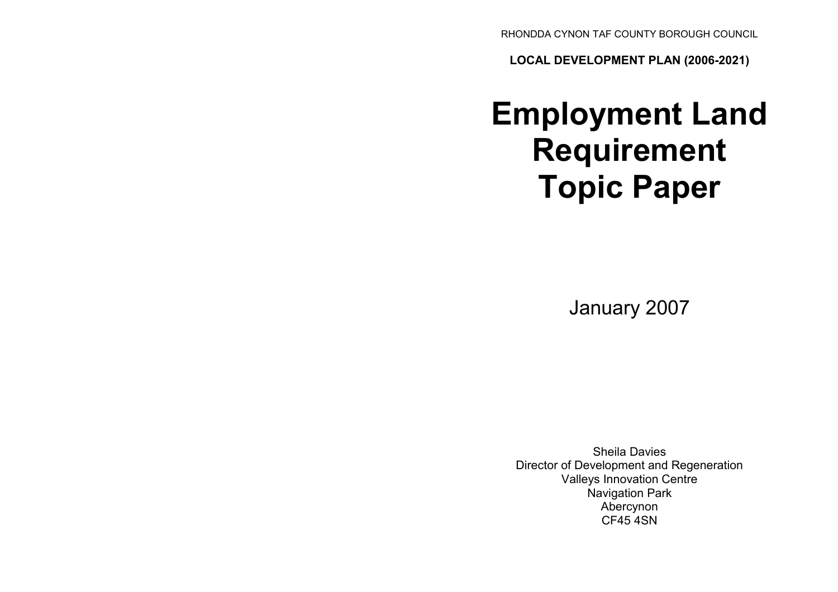RHONDDA CYNON TAF COUNTY BOROUGH COUNCIL

LOCAL DEVELOPMENT PLAN (2006-2021)

# Employment Land Requirement Topic Paper

January 2007

Sheila Davies Director of Development and Regeneration Valleys Innovation Centre Navigation Park Abercynon CF45 4SN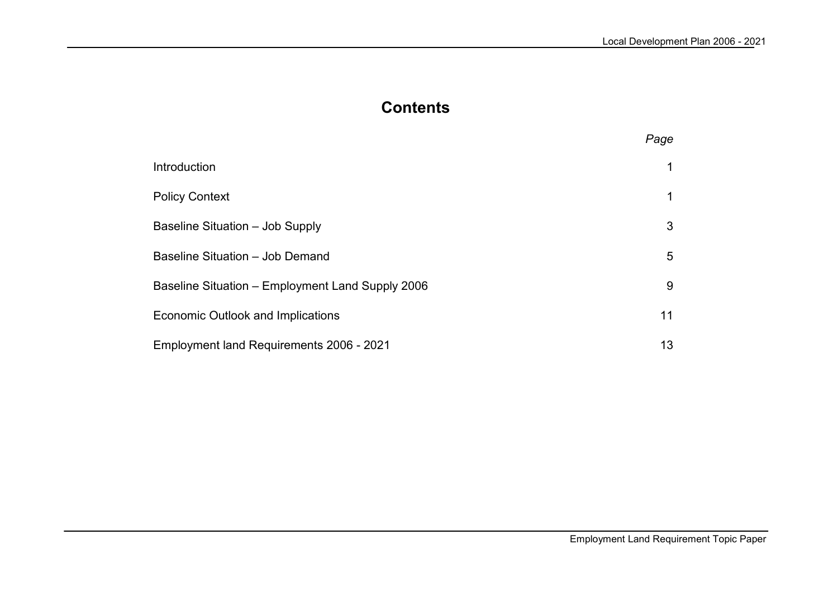# **Contents**

|                                                  | Page |
|--------------------------------------------------|------|
| Introduction                                     |      |
| <b>Policy Context</b>                            |      |
| Baseline Situation - Job Supply                  | 3    |
| Baseline Situation - Job Demand                  | 5    |
| Baseline Situation – Employment Land Supply 2006 | 9    |
| Economic Outlook and Implications                | 11   |
| Employment land Requirements 2006 - 2021         | 13   |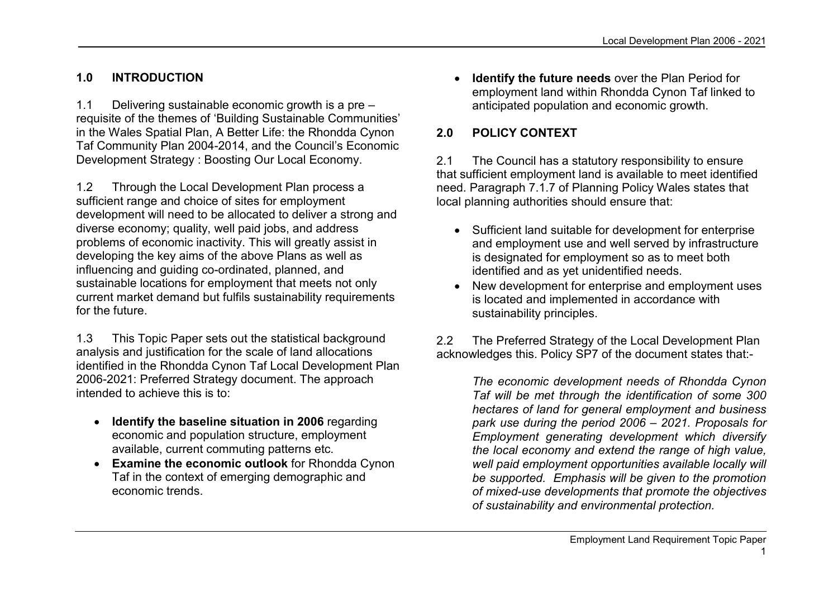## 1.0 INTRODUCTION

1.1 Delivering sustainable economic growth is a pre – requisite of the themes of 'Building Sustainable Communities' in the Wales Spatial Plan, A Better Life: the Rhondda Cynon Taf Community Plan 2004-2014, and the Council's Economic Development Strategy : Boosting Our Local Economy.

1.2 Through the Local Development Plan process a sufficient range and choice of sites for employment development will need to be allocated to deliver a strong and diverse economy; quality, well paid jobs, and address problems of economic inactivity. This will greatly assist in developing the key aims of the above Plans as well as influencing and guiding co-ordinated, planned, and sustainable locations for employment that meets not only current market demand but fulfils sustainability requirements for the future.

1.3 This Topic Paper sets out the statistical background analysis and justification for the scale of land allocations identified in the Rhondda Cynon Taf Local Development Plan 2006-2021: Preferred Strategy document. The approach intended to achieve this is to:

- Identify the baseline situation in 2006 regarding economic and population structure, employment available, current commuting patterns etc.
- Examine the economic outlook for Rhondda Cynon Taf in the context of emerging demographic and economic trends.

• Identify the future needs over the Plan Period for employment land within Rhondda Cynon Taf linked to anticipated population and economic growth.

## 2.0 POLICY CONTEXT

2.1 The Council has a statutory responsibility to ensure that sufficient employment land is available to meet identified need. Paragraph 7.1.7 of Planning Policy Wales states that local planning authorities should ensure that:

- Sufficient land suitable for development for enterprise and employment use and well served by infrastructure is designated for employment so as to meet both identified and as yet unidentified needs.
- New development for enterprise and employment uses is located and implemented in accordance with sustainability principles.

2.2 The Preferred Strategy of the Local Development Plan acknowledges this. Policy SP7 of the document states that:-

> The economic development needs of Rhondda Cynon Taf will be met through the identification of some 300 hectares of land for general employment and business park use during the period 2006 – 2021. Proposals for Employment generating development which diversify the local economy and extend the range of high value, well paid employment opportunities available locally will be supported. Emphasis will be given to the promotion of mixed-use developments that promote the objectives of sustainability and environmental protection.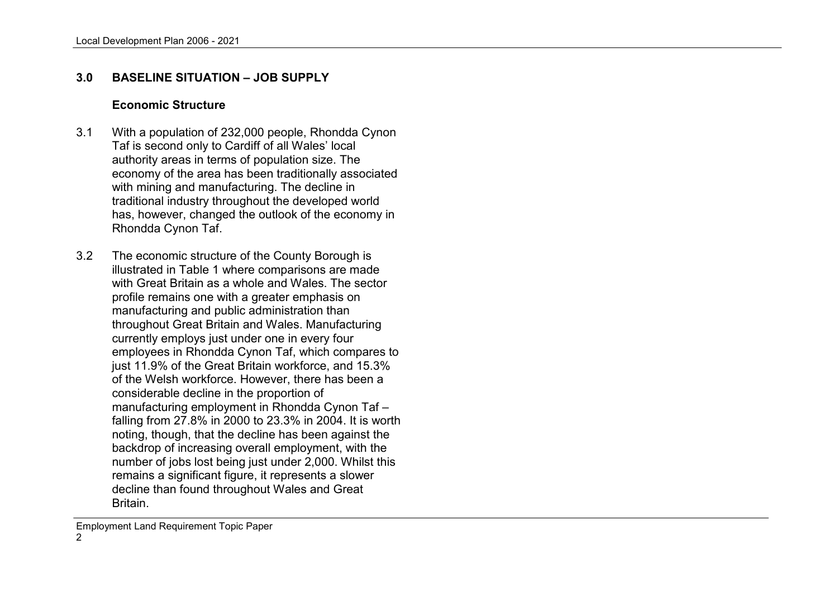#### 3.0 BASELINE SITUATION – JOB SUPPLY

#### Economic Structure

- 3.1 With a population of 232,000 people, Rhondda Cynon Taf is second only to Cardiff of all Wales' local authority areas in terms of population size. The economy of the area has been traditionally associated with mining and manufacturing. The decline in traditional industry throughout the developed world has, however, changed the outlook of the economy inRhondda Cynon Taf.
- 3.2 The economic structure of the County Borough is illustrated in Table 1 where comparisons are made with Great Britain as a whole and Wales. The sectorprofile remains one with a greater emphasis on manufacturing and public administration than throughout Great Britain and Wales. Manufacturing currently employs just under one in every four employees in Rhondda Cynon Taf, which compares to just 11.9% of the Great Britain workforce, and 15.3% of the Welsh workforce. However, there has been a considerable decline in the proportion of manufacturing employment in Rhondda Cynon Taf – falling from 27.8% in 2000 to 23.3% in 2004. It is worth noting, though, that the decline has been against the backdrop of increasing overall employment, with the number of jobs lost being just under 2,000. Whilst this remains a significant figure, it represents a slower decline than found throughout Wales and Great Britain.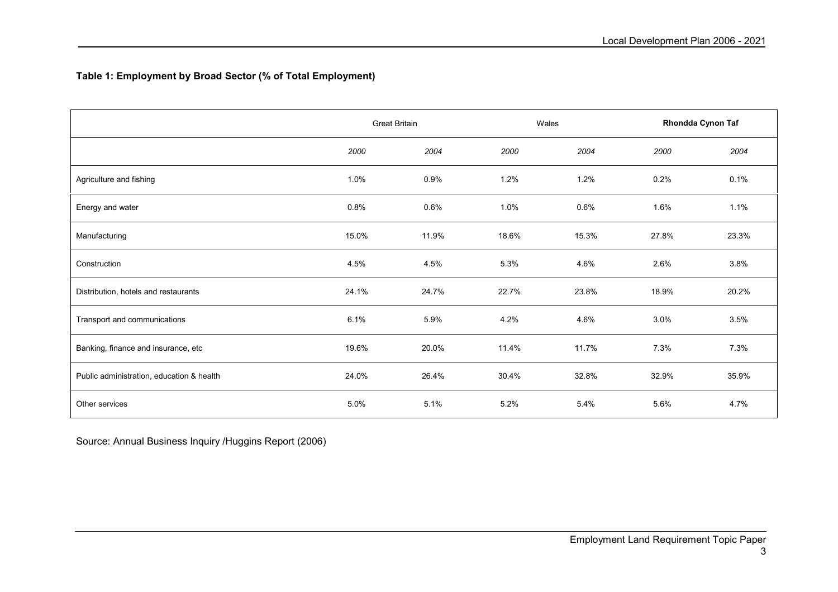#### Table 1: Employment by Broad Sector (% of Total Employment)

|                                           | Great Britain |       |       | Wales |       | Rhondda Cynon Taf |  |
|-------------------------------------------|---------------|-------|-------|-------|-------|-------------------|--|
|                                           | 2000          | 2004  | 2000  | 2004  | 2000  | 2004              |  |
| Agriculture and fishing                   | 1.0%          | 0.9%  | 1.2%  | 1.2%  | 0.2%  | 0.1%              |  |
| Energy and water                          | 0.8%          | 0.6%  | 1.0%  | 0.6%  | 1.6%  | 1.1%              |  |
| Manufacturing                             | 15.0%         | 11.9% | 18.6% | 15.3% | 27.8% | 23.3%             |  |
| Construction                              | 4.5%          | 4.5%  | 5.3%  | 4.6%  | 2.6%  | 3.8%              |  |
| Distribution, hotels and restaurants      | 24.1%         | 24.7% | 22.7% | 23.8% | 18.9% | 20.2%             |  |
| Transport and communications              | 6.1%          | 5.9%  | 4.2%  | 4.6%  | 3.0%  | 3.5%              |  |
| Banking, finance and insurance, etc       | 19.6%         | 20.0% | 11.4% | 11.7% | 7.3%  | 7.3%              |  |
| Public administration, education & health | 24.0%         | 26.4% | 30.4% | 32.8% | 32.9% | 35.9%             |  |
| Other services                            | 5.0%          | 5.1%  | 5.2%  | 5.4%  | 5.6%  | 4.7%              |  |

Source: Annual Business Inquiry /Huggins Report (2006)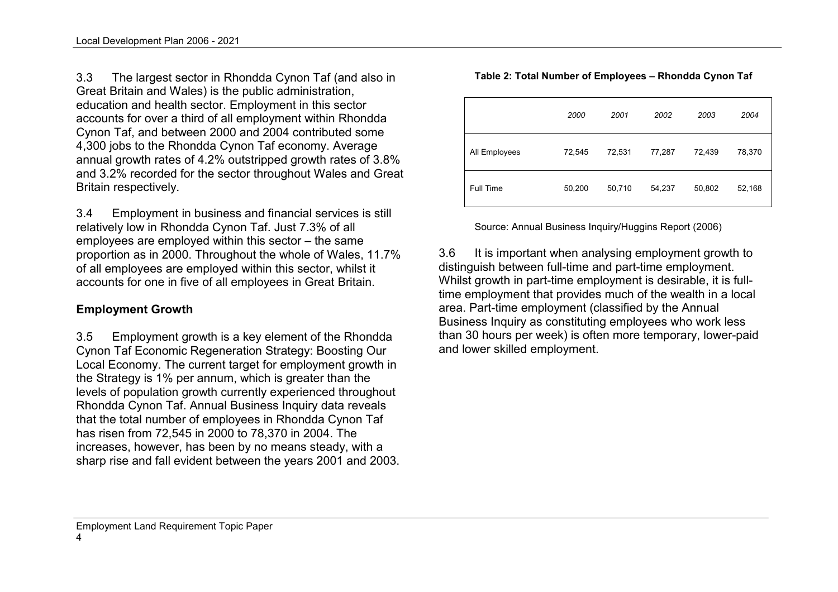3.3 The largest sector in Rhondda Cynon Taf (and also in Great Britain and Wales) is the public administration, education and health sector. Employment in this sector accounts for over a third of all employment within Rhondda Cynon Taf, and between 2000 and 2004 contributed some 4,300 jobs to the Rhondda Cynon Taf economy. Average annual growth rates of 4.2% outstripped growth rates of 3.8% and 3.2% recorded for the sector throughout Wales and Great Britain respectively.

3.4 Employment in business and financial services is still relatively low in Rhondda Cynon Taf. Just 7.3% of all employees are employed within this sector – the same proportion as in 2000. Throughout the whole of Wales, 11.7% of all employees are employed within this sector, whilst it accounts for one in five of all employees in Great Britain.

## Employment Growth

3.5 Employment growth is a key element of the Rhondda Cynon Taf Economic Regeneration Strategy: Boosting Our Local Economy. The current target for employment growth in the Strategy is 1% per annum, which is greater than the levels of population growth currently experienced throughout Rhondda Cynon Taf. Annual Business Inquiry data reveals that the total number of employees in Rhondda Cynon Taf has risen from 72,545 in 2000 to 78,370 in 2004. The increases, however, has been by no means steady, with a sharp rise and fall evident between the years 2001 and 2003.

|               | 2000   | 2001   | 2002   | 2003   | 2004   |
|---------------|--------|--------|--------|--------|--------|
| All Employees | 72,545 | 72,531 | 77,287 | 72,439 | 78,370 |
| Full Time     | 50,200 | 50,710 | 54,237 | 50,802 | 52,168 |

Source: Annual Business Inquiry/Huggins Report (2006)

3.6 It is important when analysing employment growth to distinguish between full-time and part-time employment. Whilst growth in part-time employment is desirable, it is fulltime employment that provides much of the wealth in a local area. Part-time employment (classified by the Annual Business Inquiry as constituting employees who work less than 30 hours per week) is often more temporary, lower-paid and lower skilled employment.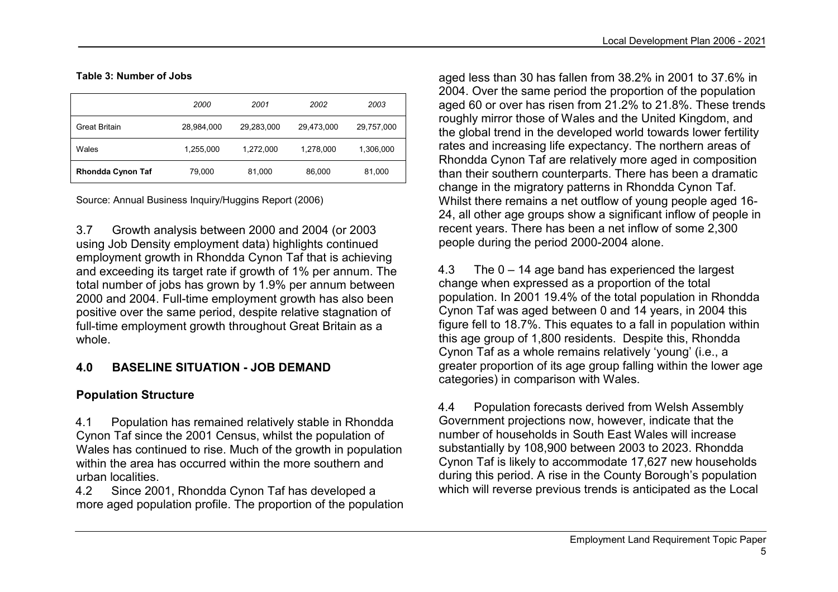#### Table 3: Number of Jobs

|                          | 2000       | 2001       | 2002       | 2003       |
|--------------------------|------------|------------|------------|------------|
| <b>Great Britain</b>     | 28,984,000 | 29,283,000 | 29,473,000 | 29,757,000 |
| Wales                    | 1,255,000  | 1.272.000  | 1,278,000  | 1,306,000  |
| <b>Rhondda Cynon Taf</b> | 79,000     | 81,000     | 86,000     | 81,000     |

Source: Annual Business Inquiry/Huggins Report (2006)

3.7 Growth analysis between 2000 and 2004 (or 2003 using Job Density employment data) highlights continued employment growth in Rhondda Cynon Taf that is achieving and exceeding its target rate if growth of 1% per annum. The total number of jobs has grown by 1.9% per annum between 2000 and 2004. Full-time employment growth has also been positive over the same period, despite relative stagnation of full-time employment growth throughout Great Britain as a whole.

## 4.0 BASELINE SITUATION - JOB DEMAND

## Population Structure

4.1 Population has remained relatively stable in Rhondda Cynon Taf since the 2001 Census, whilst the population of Wales has continued to rise. Much of the growth in population within the area has occurred within the more southern and urban localities.

 4.2 Since 2001, Rhondda Cynon Taf has developed a more aged population profile. The proportion of the population aged less than 30 has fallen from 38.2% in 2001 to 37.6% in 2004. Over the same period the proportion of the population aged 60 or over has risen from 21.2% to 21.8%. These trends roughly mirror those of Wales and the United Kingdom, and the global trend in the developed world towards lower fertility rates and increasing life expectancy. The northern areas of Rhondda Cynon Taf are relatively more aged in composition than their southern counterparts. There has been a dramatic change in the migratory patterns in Rhondda Cynon Taf. Whilst there remains a net outflow of young people aged 16- 24, all other age groups show a significant inflow of people in recent years. There has been a net inflow of some 2,300 people during the period 2000-2004 alone.

4.3 The 0 – 14 age band has experienced the largestchange when expressed as a proportion of the total population. In 2001 19.4% of the total population in Rhondda Cynon Taf was aged between 0 and 14 years, in 2004 this figure fell to 18.7%. This equates to a fall in population within this age group of 1,800 residents. Despite this, Rhondda Cynon Taf as a whole remains relatively 'young' (i.e., a greater proportion of its age group falling within the lower age categories) in comparison with Wales.

4.4 Population forecasts derived from Welsh Assembly Government projections now, however, indicate that the number of households in South East Wales will increase substantially by 108,900 between 2003 to 2023. Rhondda Cynon Taf is likely to accommodate 17,627 new households during this period. A rise in the County Borough's population which will reverse previous trends is anticipated as the Local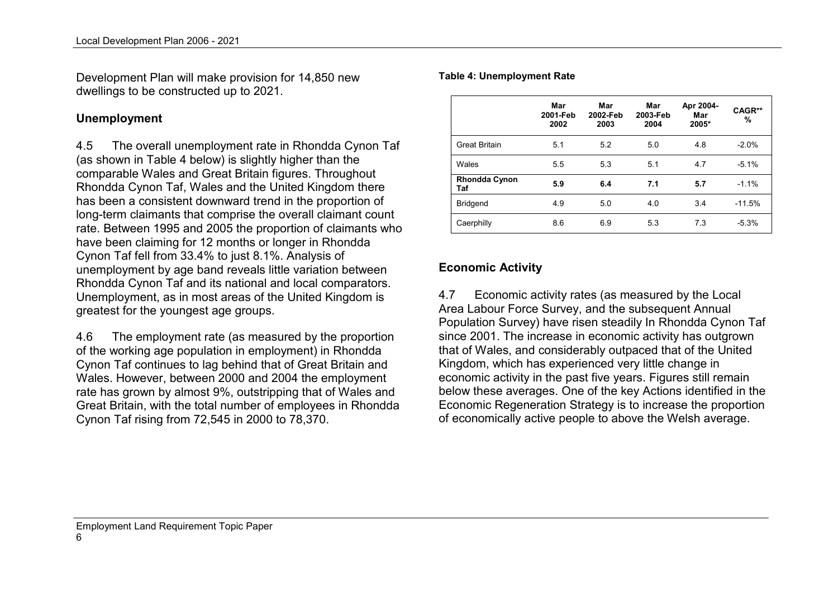Development Plan will make provision for 14,850 newdwellings to be constructed up to 2021.

#### Unemployment

4.5 The overall unemployment rate in Rhondda Cynon Taf (as shown in Table 4 below) is slightly higher than the comparable Wales and Great Britain figures. Throughout Rhondda Cynon Taf, Wales and the United Kingdom there has been a consistent downward trend in the proportion of long-term claimants that comprise the overall claimant count rate. Between 1995 and 2005 the proportion of claimants who have been claiming for 12 months or longer in Rhondda Cynon Taf fell from 33.4% to just 8.1%. Analysis of unemployment by age band reveals little variation between Rhondda Cynon Taf and its national and local comparators. Unemployment, as in most areas of the United Kingdom is greatest for the youngest age groups.

4.6 The employment rate (as measured by the proportion of the working age population in employment) in Rhondda Cynon Taf continues to lag behind that of Great Britain and Wales. However, between 2000 and 2004 the employment rate has grown by almost 9%, outstripping that of Wales and Great Britain, with the total number of employees in Rhondda Cynon Taf rising from 72,545 in 2000 to 78,370.

#### Table 4: Unemployment Rate

|                             | Mar<br>2001-Feb<br>2002 | Mar<br>2002-Feb<br>2003 | Mar<br>2003-Feb<br>2004 | Apr 2004-<br>Mar<br>2005* | CAGR**<br>% |
|-----------------------------|-------------------------|-------------------------|-------------------------|---------------------------|-------------|
| <b>Great Britain</b>        | 5.1                     | 5.2                     | 5.0                     | 4.8                       | $-2.0%$     |
| Wales                       | 5.5                     | 5.3                     | 5.1                     | 4.7                       | $-5.1%$     |
| <b>Rhondda Cynon</b><br>Taf | 5.9                     | 6.4                     | 7.1                     | 5.7                       | $-1.1%$     |
| <b>Bridgend</b>             | 4.9                     | 5.0                     | 4.0                     | 3.4                       | $-11.5%$    |
| Caerphilly                  | 8.6                     | 6.9                     | 5.3                     | 7.3                       | $-5.3%$     |

#### Economic Activity

4.7 Economic activity rates (as measured by the Local Area Labour Force Survey, and the subsequent Annual Population Survey) have risen steadily In Rhondda Cynon Taf since 2001. The increase in economic activity has outgrown that of Wales, and considerably outpaced that of the United Kingdom, which has experienced very little change in economic activity in the past five years. Figures still remain below these averages. One of the key Actions identified in the Economic Regeneration Strategy is to increase the proportion of economically active people to above the Welsh average.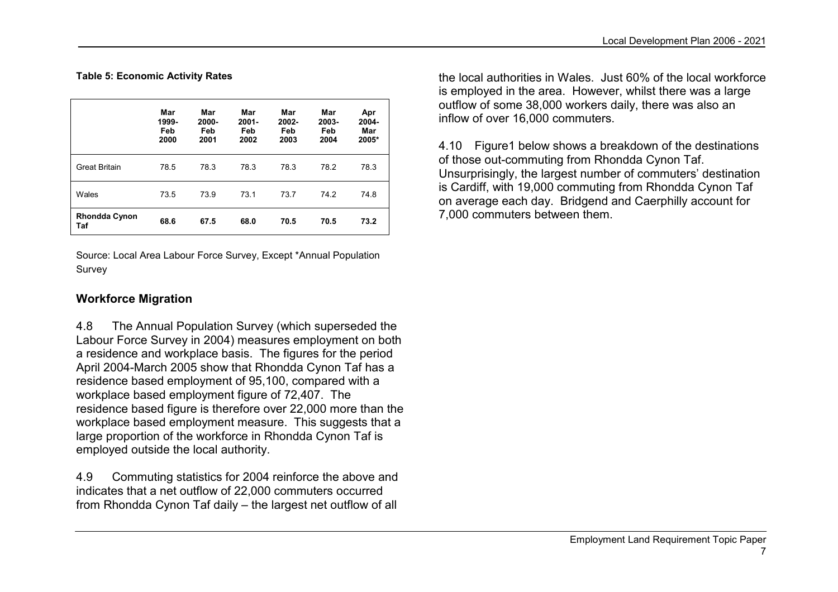Table 5: Economic Activity Rates

|                      | Mar<br>1999-<br>Feb<br>2000 | Mar<br>2000-<br>Feb<br>2001 | Mar<br>$2001 -$<br>Feb<br>2002 | Mar<br>2002-<br>Feb<br>2003 | Mar<br>2003-<br>Feb<br>2004 | Apr<br>2004-<br>Mar<br>2005* |
|----------------------|-----------------------------|-----------------------------|--------------------------------|-----------------------------|-----------------------------|------------------------------|
| Great Britain        | 78.5                        | 78.3                        | 78.3                           | 78.3                        | 78.2                        | 78.3                         |
| Wales                | 73.5                        | 73.9                        | 73.1                           | 73.7                        | 74.2                        | 74.8                         |
| Rhondda Cynon<br>Taf | 68.6                        | 67.5                        | 68.0                           | 70.5                        | 70.5                        | 73.2                         |

Source: Local Area Labour Force Survey, Except \*Annual Population Survey

## Workforce Migration

4.8 The Annual Population Survey (which superseded the Labour Force Survey in 2004) measures employment on both a residence and workplace basis. The figures for the period April 2004-March 2005 show that Rhondda Cynon Taf has a residence based employment of 95,100, compared with a workplace based employment figure of 72,407. The residence based figure is therefore over 22,000 more than the workplace based employment measure. This suggests that a large proportion of the workforce in Rhondda Cynon Taf is employed outside the local authority.

4.9 Commuting statistics for 2004 reinforce the above and indicates that a net outflow of 22,000 commuters occurred from Rhondda Cynon Taf daily – the largest net outflow of all the local authorities in Wales. Just 60% of the local workforce is employed in the area. However, whilst there was a large outflow of some 38,000 workers daily, there was also an inflow of over 16,000 commuters.

4.10 Figure1 below shows a breakdown of the destinations of those out-commuting from Rhondda Cynon Taf. Unsurprisingly, the largest number of commuters' destination is Cardiff, with 19,000 commuting from Rhondda Cynon Taf on average each day. Bridgend and Caerphilly account for 7,000 commuters between them.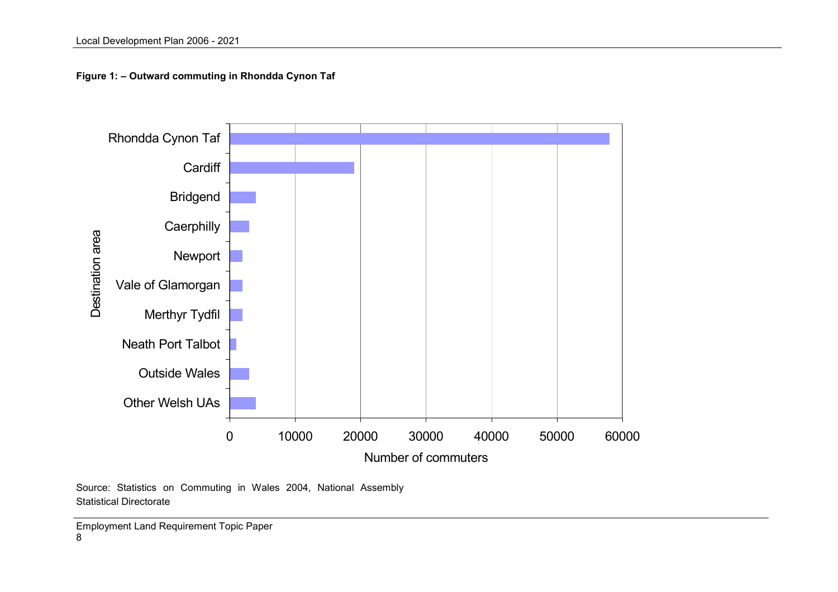Figure 1: – Outward commuting in Rhondda Cynon Taf



Source: Statistics on Commuting in Wales 2004, National Assembly Statistical Directorate

Employment Land Requirement Topic Paper 8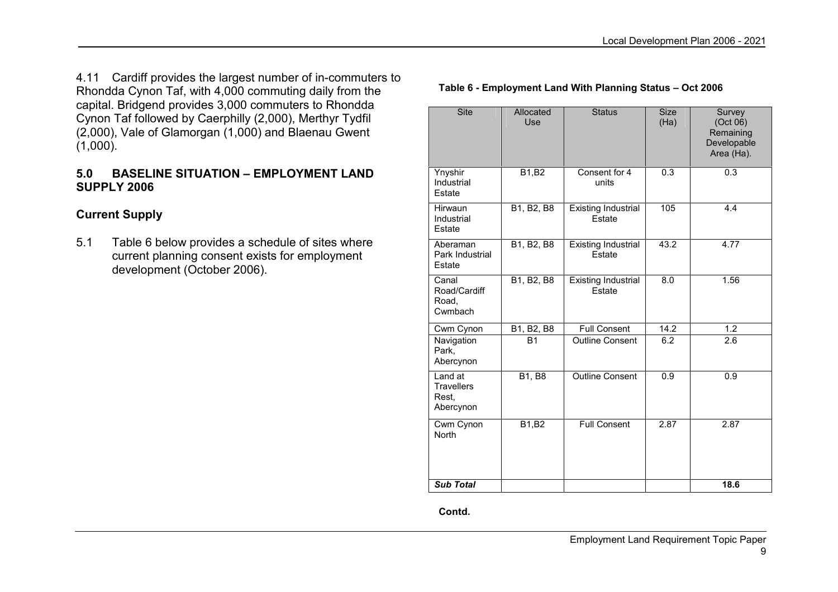4.11 Cardiff provides the largest number of in-commuters to Rhondda Cynon Taf, with 4,000 commuting daily from the capital. Bridgend provides 3,000 commuters to Rhondda Cynon Taf followed by Caerphilly (2,000), Merthyr Tydfil (2,000), Vale of Glamorgan (1,000) and Blaenau Gwent (1,000).

### 5.0 BASELINE SITUATION – EMPLOYMENT LAND SUPPLY 2006

## Current Supply

5.1 Table 6 below provides a schedule of sites where current planning consent exists for employment development (October 2006).

| Site                                               | Allocated<br>Use | <b>Status</b>                        | <b>Size</b><br>(Ha) | Survey<br>(Oct 06)<br>Remaining<br>Developable<br>Area (Ha). |
|----------------------------------------------------|------------------|--------------------------------------|---------------------|--------------------------------------------------------------|
| Ynyshir<br>Industrial<br>Estate                    | B1, B2           | Consent for 4<br>units               | 0.3                 | 0.3                                                          |
| Hirwaun<br>Industrial<br>Estate                    | B1, B2, B8       | <b>Existing Industrial</b><br>Estate | 105                 | 4.4                                                          |
| Aberaman<br>Park Industrial<br>Estate              | B1, B2, B8       | <b>Existing Industrial</b><br>Estate | 43.2                | 4.77                                                         |
| Canal<br>Road/Cardiff<br>Road,<br>Cwmbach          | B1, B2, B8       | <b>Existing Industrial</b><br>Estate | 8.0                 | 1.56                                                         |
| Cwm Cynon                                          | B1, B2, B8       | <b>Full Consent</b>                  | 14.2                | 1.2                                                          |
| Navigation<br>Park,<br>Abercynon                   | <b>B1</b>        | <b>Outline Consent</b>               | 6.2                 | 2.6                                                          |
| Land at<br><b>Travellers</b><br>Rest.<br>Abercynon | <b>B1, B8</b>    | <b>Outline Consent</b>               | 0.9                 | 0.9                                                          |
| Cwm Cynon<br><b>North</b>                          | <b>B1,B2</b>     | <b>Full Consent</b>                  | 2.87                | 2.87                                                         |
| <b>Sub Total</b>                                   |                  |                                      |                     | 18.6                                                         |

#### Table 6 - Employment Land With Planning Status – Oct 2006

Contd.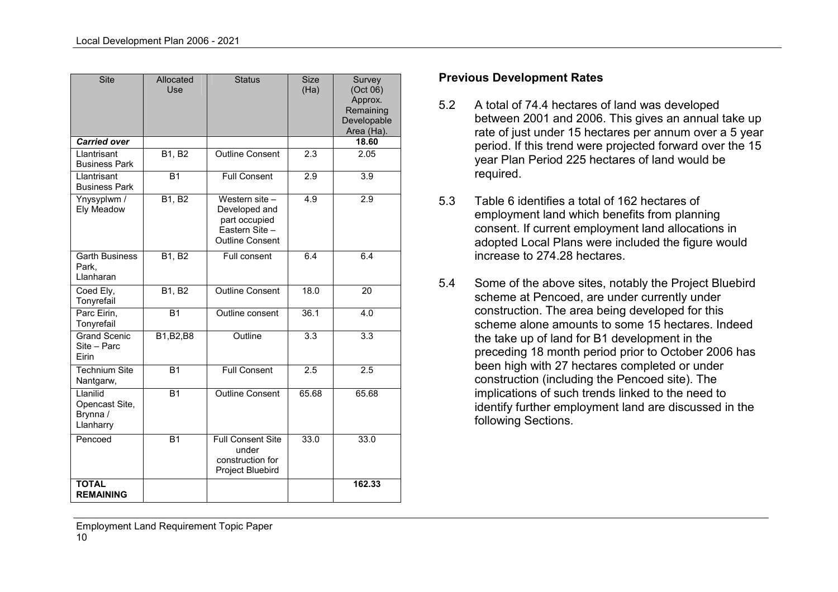| <b>Site</b>                                         | Allocated<br>Use    | <b>Status</b>                                                                                | <b>Size</b><br>(Ha) | Survey<br>(Oct 06)<br>Approx.<br>Remaining<br>Developable<br>Area (Ha). |
|-----------------------------------------------------|---------------------|----------------------------------------------------------------------------------------------|---------------------|-------------------------------------------------------------------------|
| <b>Carried over</b>                                 |                     |                                                                                              |                     | 18.60                                                                   |
| Llantrisant<br><b>Business Park</b>                 | <b>B1, B2</b>       | <b>Outline Consent</b>                                                                       | 2.3                 | 2.05                                                                    |
| Llantrisant<br><b>Business Park</b>                 | <b>B1</b>           | <b>Full Consent</b>                                                                          | 2.9                 | $\overline{3.9}$                                                        |
| Ynysyplwm /<br>Ely Meadow                           | $B1, \overline{B2}$ | Western site -<br>Developed and<br>part occupied<br>Eastern Site -<br><b>Outline Consent</b> | 4.9                 | 2.9                                                                     |
| <b>Garth Business</b><br>Park,<br>Llanharan         | <b>B1, B2</b>       | Full consent                                                                                 | 6.4                 | 6.4                                                                     |
| Coed Ely,<br>Tonyrefail                             | B1, B2              | <b>Outline Consent</b>                                                                       | 18.0                | 20                                                                      |
| Parc Eirin,<br>Tonyrefail                           | <b>B1</b>           | Outline consent                                                                              | 36.1                | 4.0                                                                     |
| <b>Grand Scenic</b><br>Site - Parc<br>Eirin         | B1, B2, B8          | Outline                                                                                      | $\overline{3.3}$    | $\overline{3.3}$                                                        |
| <b>Technium Site</b><br>Nantgarw,                   | <b>B1</b>           | <b>Full Consent</b>                                                                          | $\overline{2.5}$    | 2.5                                                                     |
| Llanilid<br>Opencast Site,<br>Brynna /<br>Llanharry | <b>B1</b>           | <b>Outline Consent</b>                                                                       | 65.68               | 65.68                                                                   |
| Pencoed                                             | <b>B1</b>           | <b>Full Consent Site</b><br>under<br>construction for<br>Project Bluebird                    | 33.0                | 33.0                                                                    |
| <b>TOTAL</b><br><b>REMAINING</b>                    |                     |                                                                                              |                     | 162.33                                                                  |

#### Previous Development Rates

- 5.2 A total of 74.4 hectares of land was developed between 2001 and 2006. This gives an annual take up rate of just under 15 hectares per annum over a 5 year period. If this trend were projected forward over the 15 year Plan Period 225 hectares of land would be required.
- 5.3 Table 6 identifies a total of 162 hectares of employment land which benefits from planning consent. If current employment land allocations in adopted Local Plans were included the figure would increase to 274.28 hectares.
- 5.4 Some of the above sites, notably the Project Bluebird scheme at Pencoed, are under currently under construction. The area being developed for this scheme alone amounts to some 15 hectares. Indeed the take up of land for B1 development in the preceding 18 month period prior to October 2006 hasbeen high with 27 hectares completed or under construction (including the Pencoed site). The implications of such trends linked to the need to identify further employment land are discussed in the following Sections.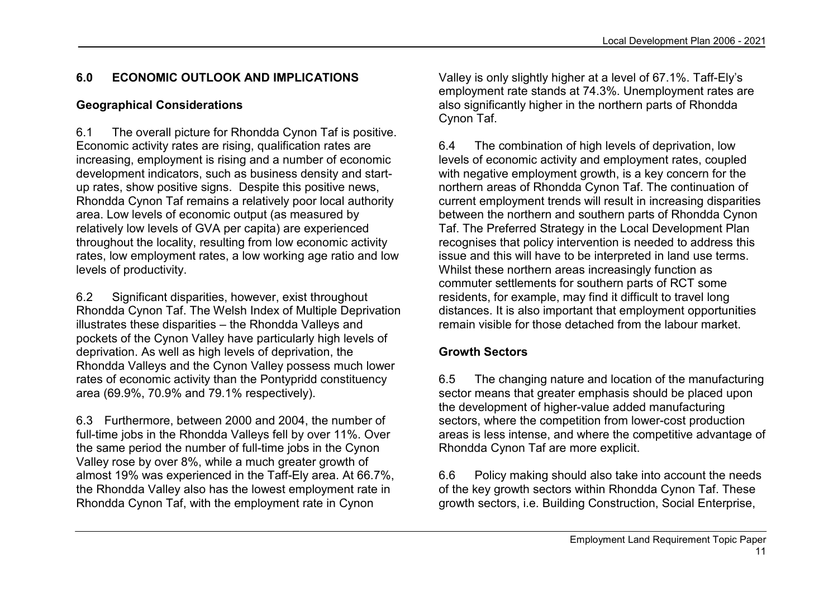## 6.0 ECONOMIC OUTLOOK AND IMPLICATIONS

## Geographical Considerations

6.1 The overall picture for Rhondda Cynon Taf is positive. Economic activity rates are rising, qualification rates are increasing, employment is rising and a number of economic development indicators, such as business density and startup rates, show positive signs. Despite this positive news, Rhondda Cynon Taf remains a relatively poor local authority area. Low levels of economic output (as measured by relatively low levels of GVA per capita) are experienced throughout the locality, resulting from low economic activity rates, low employment rates, a low working age ratio and low levels of productivity.

6.2 Significant disparities, however, exist throughout Rhondda Cynon Taf. The Welsh Index of Multiple Deprivation illustrates these disparities – the Rhondda Valleys and pockets of the Cynon Valley have particularly high levels of deprivation. As well as high levels of deprivation, the Rhondda Valleys and the Cynon Valley possess much lower rates of economic activity than the Pontypridd constituency area (69.9%, 70.9% and 79.1% respectively).

6.3 Furthermore, between 2000 and 2004, the number of full-time jobs in the Rhondda Valleys fell by over 11%. Over the same period the number of full-time jobs in the Cynon Valley rose by over 8%, while a much greater growth of almost 19% was experienced in the Taff-Ely area. At 66.7%, the Rhondda Valley also has the lowest employment rate in Rhondda Cynon Taf, with the employment rate in Cynon

Valley is only slightly higher at a level of 67.1%. Taff-Ely's employment rate stands at 74.3%. Unemployment rates are also significantly higher in the northern parts of Rhondda Cynon Taf.

6.4 The combination of high levels of deprivation, low levels of economic activity and employment rates, coupled with negative employment growth, is a key concern for the northern areas of Rhondda Cynon Taf. The continuation of current employment trends will result in increasing disparities between the northern and southern parts of Rhondda Cynon Taf. The Preferred Strategy in the Local Development Plan recognises that policy intervention is needed to address this issue and this will have to be interpreted in land use terms. Whilst these northern areas increasingly function as commuter settlements for southern parts of RCT some residents, for example, may find it difficult to travel long distances. It is also important that employment opportunities remain visible for those detached from the labour market.

## Growth Sectors

6.5 The changing nature and location of the manufacturing sector means that greater emphasis should be placed upon the development of higher-value added manufacturing sectors, where the competition from lower-cost production areas is less intense, and where the competitive advantage of Rhondda Cynon Taf are more explicit.

6.6 Policy making should also take into account the needs of the key growth sectors within Rhondda Cynon Taf. These growth sectors, i.e. Building Construction, Social Enterprise,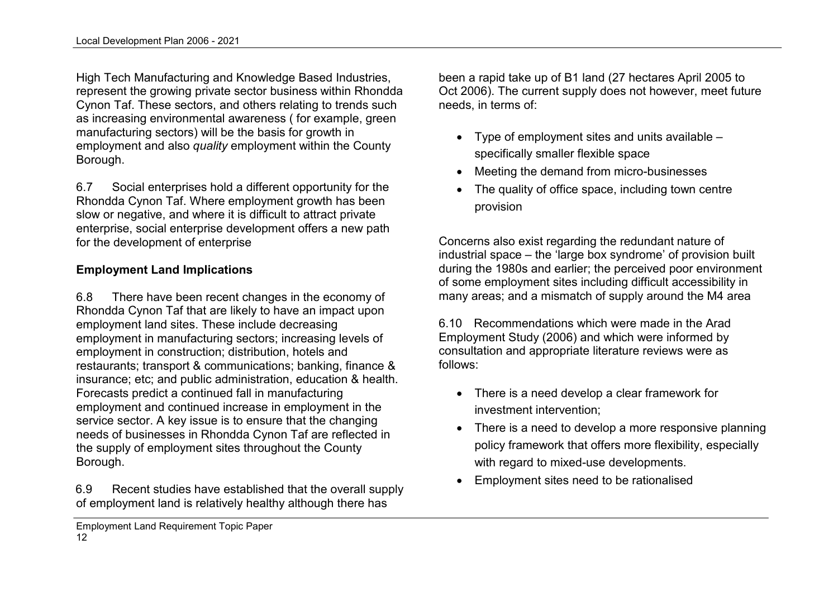High Tech Manufacturing and Knowledge Based Industries, represent the growing private sector business within Rhondda Cynon Taf. These sectors, and others relating to trends such as increasing environmental awareness ( for example, green manufacturing sectors) will be the basis for growth in employment and also quality employment within the County Borough.

6.7 Social enterprises hold a different opportunity for the Rhondda Cynon Taf. Where employment growth has beenslow or negative, and where it is difficult to attract private enterprise, social enterprise development offers a new path for the development of enterprise

#### Employment Land Implications

6.8 There have been recent changes in the economy of Rhondda Cynon Taf that are likely to have an impact upon employment land sites. These include decreasing employment in manufacturing sectors; increasing levels of employment in construction; distribution, hotels and restaurants; transport & communications; banking, finance & insurance; etc; and public administration, education & health. Forecasts predict a continued fall in manufacturing employment and continued increase in employment in the service sector. A key issue is to ensure that the changing needs of businesses in Rhondda Cynon Taf are reflected in the supply of employment sites throughout the County Borough.

6.9 Recent studies have established that the overall supply of employment land is relatively healthy although there has

been a rapid take up of B1 land (27 hectares April 2005 to Oct 2006). The current supply does not however, meet future needs, in terms of:

- Type of employment sites and units available specifically smaller flexible space
- Meeting the demand from micro-businesses
- The quality of office space, including town centre provision

Concerns also exist regarding the redundant nature of industrial space – the 'large box syndrome' of provision built during the 1980s and earlier; the perceived poor environment of some employment sites including difficult accessibility in many areas; and a mismatch of supply around the M4 area

6.10 Recommendations which were made in the Arad Employment Study (2006) and which were informed by consultation and appropriate literature reviews were as follows:

- There is a need develop a clear framework for investment intervention;
- There is a need to develop a more responsive planning policy framework that offers more flexibility, especially with regard to mixed-use developments.
- Employment sites need to be rationalised

Employment Land Requirement Topic Paper 12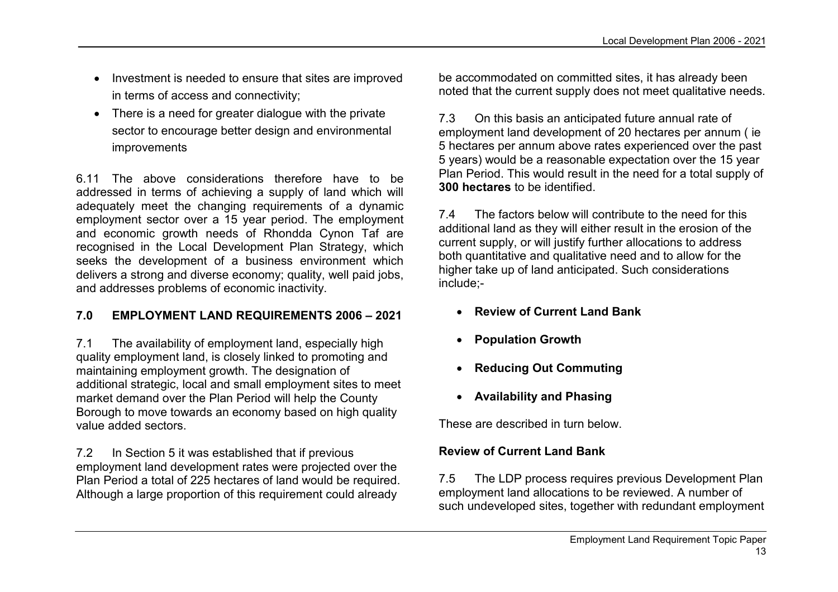- Investment is needed to ensure that sites are improved in terms of access and connectivity;
- There is a need for greater dialogue with the private sector to encourage better design and environmentalimprovements

6.11 The above considerations therefore have to be addressed in terms of achieving a supply of land which will adequately meet the changing requirements of a dynamic employment sector over a 15 year period. The employment and economic growth needs of Rhondda Cynon Taf are recognised in the Local Development Plan Strategy, which seeks the development of a business environment which delivers a strong and diverse economy; quality, well paid jobs, and addresses problems of economic inactivity.

## 7.0 EMPLOYMENT LAND REQUIREMENTS 2006 – 2021

7.1 The availability of employment land, especially high quality employment land, is closely linked to promoting and maintaining employment growth. The designation of additional strategic, local and small employment sites to meet market demand over the Plan Period will help the County Borough to move towards an economy based on high quality value added sectors.

7.2 In Section 5 it was established that if previous employment land development rates were projected over the Plan Period a total of 225 hectares of land would be required. Although a large proportion of this requirement could already

be accommodated on committed sites, it has already been noted that the current supply does not meet qualitative needs.

7.3 On this basis an anticipated future annual rate of employment land development of 20 hectares per annum ( ie 5 hectares per annum above rates experienced over the past 5 years) would be a reasonable expectation over the 15 year Plan Period. This would result in the need for a total supply of 300 hectares to be identified.

7.4 The factors below will contribute to the need for this additional land as they will either result in the erosion of the current supply, or will justify further allocations to address both quantitative and qualitative need and to allow for the higher take up of land anticipated. Such considerations include;-

- Review of Current Land Bank
- Population Growth
- Reducing Out Commuting
- Availability and Phasing

These are described in turn below.

#### Review of Current Land Bank

7.5 The LDP process requires previous Development Plan employment land allocations to be reviewed. A number of such undeveloped sites, together with redundant employment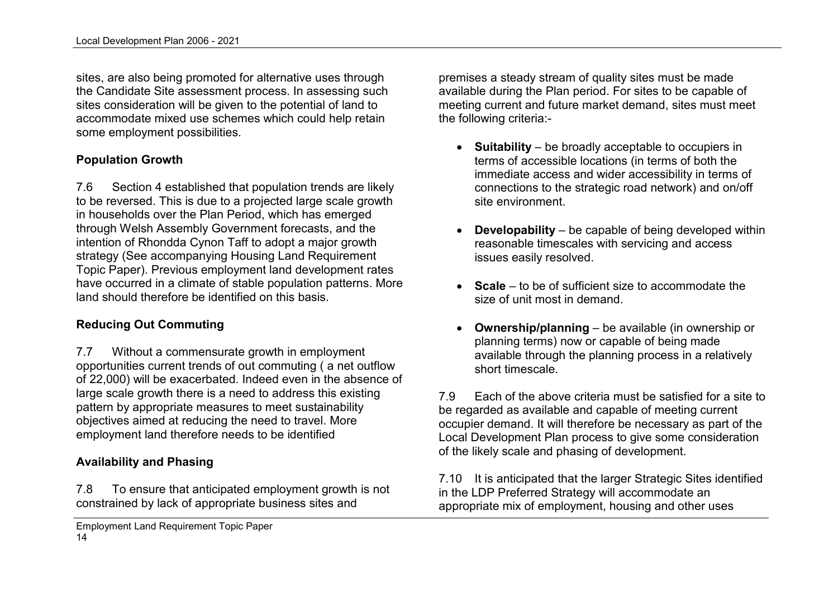sites, are also being promoted for alternative uses through the Candidate Site assessment process. In assessing such sites consideration will be given to the potential of land to accommodate mixed use schemes which could help retain some employment possibilities.

#### Population Growth

7.6 Section 4 established that population trends are likely to be reversed. This is due to a projected large scale growth in households over the Plan Period, which has emerged through Welsh Assembly Government forecasts, and the intention of Rhondda Cynon Taff to adopt a major growth strategy (See accompanying Housing Land Requirement Topic Paper). Previous employment land development rates have occurred in a climate of stable population patterns. More land should therefore be identified on this basis.

## Reducing Out Commuting

7.7 Without a commensurate growth in employment opportunities current trends of out commuting ( a net outflow of 22,000) will be exacerbated. Indeed even in the absence of large scale growth there is a need to address this existing pattern by appropriate measures to meet sustainability objectives aimed at reducing the need to travel. More employment land therefore needs to be identified

#### Availability and Phasing

7.8 To ensure that anticipated employment growth is not constrained by lack of appropriate business sites and

premises a steady stream of quality sites must be made available during the Plan period. For sites to be capable of meeting current and future market demand, sites must meet the following criteria:-

- Suitability be broadly acceptable to occupiers in terms of accessible locations (in terms of both the immediate access and wider accessibility in terms of connections to the strategic road network) and on/off site environment.
- Developability be capable of being developed within reasonable timescales with servicing and access issues easily resolved.
- **Scale** to be of sufficient size to accommodate the size of unit most in demand.
- Ownership/planning be available (in ownership or planning terms) now or capable of being made available through the planning process in a relatively short timescale.

7.9 Each of the above criteria must be satisfied for a site to be regarded as available and capable of meeting current occupier demand. It will therefore be necessary as part of the Local Development Plan process to give some consideration of the likely scale and phasing of development.

7.10 It is anticipated that the larger Strategic Sites identified in the LDP Preferred Strategy will accommodate an appropriate mix of employment, housing and other uses

Employment Land Requirement Topic Paper 14